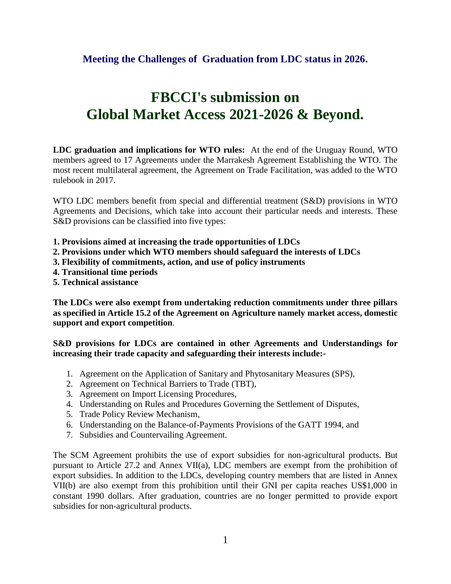## **Meeting the Challenges of Graduation from LDC status in 2026.**

# **FBCCI's submission on Global Market Access 2021-2026 & Beyond.**

**LDC graduation and implications for WTO rules:** At the end of the Uruguay Round, WTO members agreed to 17 Agreements under the Marrakesh Agreement Establishing the WTO. The most recent multilateral agreement, the Agreement on Trade Facilitation, was added to the WTO rulebook in 2017.

WTO LDC members benefit from special and differential treatment (S&D) provisions in WTO Agreements and Decisions, which take into account their particular needs and interests. These S&D provisions can be classified into five types:

- **1. Provisions aimed at increasing the trade opportunities of LDCs**
- **2. Provisions under which WTO members should safeguard the interests of LDCs**
- **3. Flexibility of commitments, action, and use of policy instruments**
- **4. Transitional time periods**
- **5. Technical assistance**

**The LDCs were also exempt from undertaking reduction commitments under three pillars as specified in Article 15.2 of the Agreement on Agriculture namely market access, domestic support and export competition**.

**S&D provisions for LDCs are contained in other Agreements and Understandings for increasing their trade capacity and safeguarding their interests include:-**

- 1. Agreement on the Application of Sanitary and Phytosanitary Measures (SPS),
- 2. Agreement on Technical Barriers to Trade (TBT),
- 3. Agreement on Import Licensing Procedures,
- 4. Understanding on Rules and Procedures Governing the Settlement of Disputes,
- 5. Trade Policy Review Mechanism,
- 6. Understanding on the Balance-of-Payments Provisions of the GATT 1994, and
- 7. Subsidies and Countervailing Agreement.

The SCM Agreement prohibits the use of export subsidies for non-agricultural products. But pursuant to Article 27.2 and Annex VII(a), LDC members are exempt from the prohibition of export subsidies. In addition to the LDCs, developing country members that are listed in Annex VII(b) are also exempt from this prohibition until their GNI per capita reaches US\$1,000 in constant 1990 dollars. After graduation, countries are no longer permitted to provide export subsidies for non-agricultural products.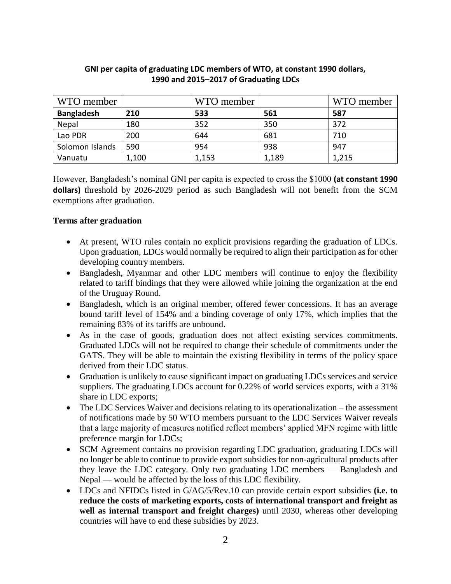| WTO member        |       | WTO member |       | WTO member |
|-------------------|-------|------------|-------|------------|
| <b>Bangladesh</b> | 210   | 533        | 561   | 587        |
| Nepal             | 180   | 352        | 350   | 372        |
| Lao PDR           | 200   | 644        | 681   | 710        |
| Solomon Islands   | 590   | 954        | 938   | 947        |
| Vanuatu           | 1,100 | 1,153      | 1,189 | 1,215      |

## **GNI per capita of graduating LDC members of WTO, at constant 1990 dollars, 1990 and 2015–2017 of Graduating LDCs**

However, Bangladesh's nominal GNI per capita is expected to cross the \$1000 **(at constant 1990 dollars)** threshold by 2026-2029 period as such Bangladesh will not benefit from the SCM exemptions after graduation.

## **Terms after graduation**

- At present, WTO rules contain no explicit provisions regarding the graduation of LDCs. Upon graduation, LDCs would normally be required to align their participation as for other developing country members.
- Bangladesh, Myanmar and other LDC members will continue to enjoy the flexibility related to tariff bindings that they were allowed while joining the organization at the end of the Uruguay Round.
- Bangladesh, which is an original member, offered fewer concessions. It has an average bound tariff level of 154% and a binding coverage of only 17%, which implies that the remaining 83% of its tariffs are unbound.
- As in the case of goods, graduation does not affect existing services commitments. Graduated LDCs will not be required to change their schedule of commitments under the GATS. They will be able to maintain the existing flexibility in terms of the policy space derived from their LDC status.
- Graduation is unlikely to cause significant impact on graduating LDCs services and service suppliers. The graduating LDCs account for 0.22% of world services exports, with a 31% share in LDC exports;
- The LDC Services Waiver and decisions relating to its operationalization the assessment of notifications made by 50 WTO members pursuant to the LDC Services Waiver reveals that a large majority of measures notified reflect members' applied MFN regime with little preference margin for LDCs;
- SCM Agreement contains no provision regarding LDC graduation, graduating LDCs will no longer be able to continue to provide export subsidies for non-agricultural products after they leave the LDC category. Only two graduating LDC members — Bangladesh and Nepal — would be affected by the loss of this LDC flexibility.
- LDCs and NFIDCs listed in G/AG/5/Rev.10 can provide certain export subsidies **(i.e. to reduce the costs of marketing exports, costs of international transport and freight as well as internal transport and freight charges)** until 2030, whereas other developing countries will have to end these subsidies by 2023.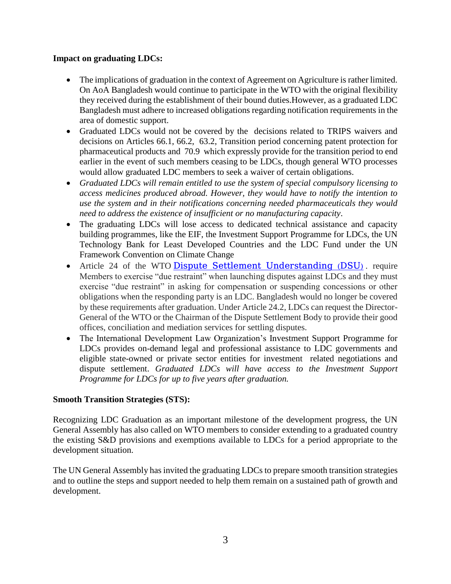## **Impact on graduating LDCs:**

- The implications of graduation in the context of Agreement on Agriculture is rather limited. On AoA Bangladesh would continue to participate in the WTO with the original flexibility they received during the establishment of their bound duties.However, as a graduated LDC Bangladesh must adhere to increased obligations regarding notification requirements in the area of domestic support.
- Graduated LDCs would not be covered by the decisions related to TRIPS waivers and decisions on Articles 66.1, 66.2, 63.2, Transition period concerning patent protection for pharmaceutical products and 70.9 which expressly provide for the transition period to end earlier in the event of such members ceasing to be LDCs, though general WTO processes would allow graduated LDC members to seek a waiver of certain obligations.
- *Graduated LDCs will remain entitled to use the system of special compulsory licensing to access medicines produced abroad. However, they would have to notify the intention to use the system and in their notifications concerning needed pharmaceuticals they would need to address the existence of insufficient or no manufacturing capacity*.
- The graduating LDCs will lose access to dedicated technical assistance and capacity building programmes, like the EIF, the Investment Support Programme for LDCs, the UN Technology Bank for Least Developed Countries and the LDC Fund under the UN Framework Convention on Climate Change
- Article 24 of the WTO [Dispute Settlement Understanding \(DSU\)](https://www.wto.org/english/docs_e/legal_e/28-dsu_e.htm#27). require Members to exercise "due restraint" when launching disputes against LDCs and they must exercise "due restraint" in asking for compensation or suspending concessions or other obligations when the responding party is an LDC. Bangladesh would no longer be covered by these requirements after graduation. Under Article 24.2, LDCs can request the Director-General of the WTO or the Chairman of the Dispute Settlement Body to provide their good offices, conciliation and mediation services for settling disputes.
- The International Development Law Organization's Investment Support Programme for LDCs provides on-demand legal and professional assistance to LDC governments and eligible state-owned or private sector entities for investment related negotiations and dispute settlement. *Graduated LDCs will have access to the Investment Support Programme for LDCs for up to five years after graduation.*

## **Smooth Transition Strategies (STS):**

Recognizing LDC Graduation as an important milestone of the development progress, the UN General Assembly has also called on WTO members to consider extending to a graduated country the existing S&D provisions and exemptions available to LDCs for a period appropriate to the development situation.

The UN General Assembly has invited the graduating LDCs to prepare smooth transition strategies and to outline the steps and support needed to help them remain on a sustained path of growth and development.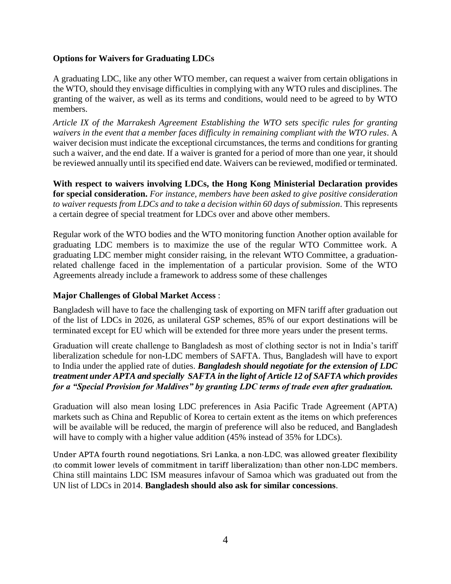## **Options for Waivers for Graduating LDCs**

A graduating LDC, like any other WTO member, can request a waiver from certain obligations in the WTO, should they envisage difficulties in complying with any WTO rules and disciplines. The granting of the waiver, as well as its terms and conditions, would need to be agreed to by WTO members.

*Article IX of the Marrakesh Agreement Establishing the WTO sets specific rules for granting waivers in the event that a member faces difficulty in remaining compliant with the WTO rules*. A waiver decision must indicate the exceptional circumstances, the terms and conditions for granting such a waiver, and the end date. If a waiver is granted for a period of more than one year, it should be reviewed annually until its specified end date. Waivers can be reviewed, modified or terminated.

**With respect to waivers involving LDCs, the Hong Kong Ministerial Declaration provides for special consideration.** *For instance, members have been asked to give positive consideration to waiver requests from LDCs and to take a decision within 60 days of submission*. This represents a certain degree of special treatment for LDCs over and above other members.

Regular work of the WTO bodies and the WTO monitoring function Another option available for graduating LDC members is to maximize the use of the regular WTO Committee work. A graduating LDC member might consider raising, in the relevant WTO Committee, a graduationrelated challenge faced in the implementation of a particular provision. Some of the WTO Agreements already include a framework to address some of these challenges

#### **Major Challenges of Global Market Access** :

Bangladesh will have to face the challenging task of exporting on MFN tariff after graduation out of the list of LDCs in 2026, as unilateral GSP schemes, 85% of our export destinations will be terminated except for EU which will be extended for three more years under the present terms.

Graduation will create challenge to Bangladesh as most of clothing sector is not in India's tariff liberalization schedule for non-LDC members of SAFTA. Thus, Bangladesh will have to export to India under the applied rate of duties. *Bangladesh should negotiate for the extension of LDC treatment under APTA and specially SAFTA in the light of Article 12 of SAFTA which provides for a "Special Provision for Maldives" by granting LDC terms of trade even after graduation.* 

Graduation will also mean losing LDC preferences in Asia Pacific Trade Agreement (APTA) markets such as China and Republic of Korea to certain extent as the items on which preferences will be available will be reduced, the margin of preference will also be reduced, and Bangladesh will have to comply with a higher value addition (45% instead of 35% for LDCs).

Under APTA fourth round negotiations, Sri Lanka, a non-LDC, was allowed greater flexibility (to commit lower levels of commitment in tariff liberalization) than other non-LDC members. China still maintains LDC ISM measures infavour of Samoa which was graduated out from the UN list of LDCs in 2014. **Bangladesh should also ask for similar concessions**.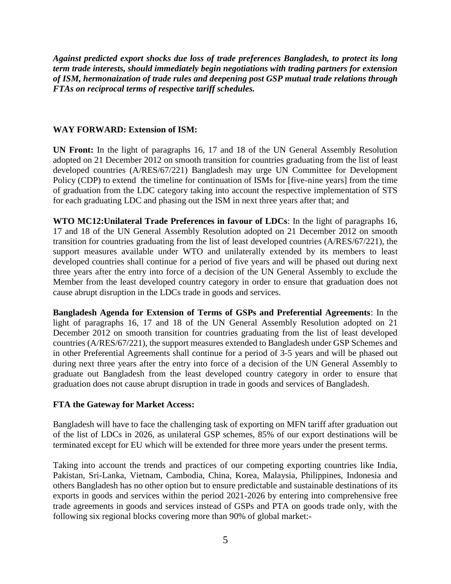*Against predicted export shocks due loss of trade preferences Bangladesh, to protect its long term trade interests, should immediately begin negotiations with trading partners for extension of ISM, hermonaization of trade rules and deepening post GSP mutual trade relations through FTAs on reciprocal terms of respective tariff schedules.*

#### **WAY FORWARD: Extension of ISM:**

**UN Front:** In the light of paragraphs 16, 17 and 18 of the UN General Assembly Resolution adopted on 21 December 2012 on smooth transition for countries graduating from the list of least developed countries (A/RES/67/221) Bangladesh may urge UN Committee for Development Policy (CDP) to extend the timeline for continuation of ISMs for [five-nine years] from the time of graduation from the LDC category taking into account the respective implementation of STS for each graduating LDC and phasing out the ISM in next three years after that; and

**WTO MC12:Unilateral Trade Preferences in favour of LDCs**: In the light of paragraphs 16, 17 and 18 of the UN General Assembly Resolution adopted on 21 December 2012 on smooth transition for countries graduating from the list of least developed countries (A/RES/67/221), the support measures available under WTO and unilaterally extended by its members to least developed countries shall continue for a period of five years and will be phased out during next three years after the entry into force of a decision of the UN General Assembly to exclude the Member from the least developed country category in order to ensure that graduation does not cause abrupt disruption in the LDCs trade in goods and services.

**Bangladesh Agenda for Extension of Terms of GSPs and Preferential Agreements**: In the light of paragraphs 16, 17 and 18 of the UN General Assembly Resolution adopted on 21 December 2012 on smooth transition for countries graduating from the list of least developed countries (A/RES/67/221), the support measures extended to Bangladesh under GSP Schemes and in other Preferential Agreements shall continue for a period of 3-5 years and will be phased out during next three years after the entry into force of a decision of the UN General Assembly to graduate out Bangladesh from the least developed country category in order to ensure that graduation does not cause abrupt disruption in trade in goods and services of Bangladesh.

#### **FTA the Gateway for Market Access:**

Bangladesh will have to face the challenging task of exporting on MFN tariff after graduation out of the list of LDCs in 2026, as unilateral GSP schemes, 85% of our export destinations will be terminated except for EU which will be extended for three more years under the present terms.

Taking into account the trends and practices of our competing exporting countries like India, Pakistan, Sri-Lanka, Vietnam, Cambodia, China, Korea, Malaysia, Philippines, Indonesia and others Bangladesh has no other option but to ensure predictable and sustainable destinations of its exports in goods and services within the period 2021-2026 by entering into comprehensive free trade agreements in goods and services instead of GSPs and PTA on goods trade only, with the following six regional blocks covering more than 90% of global market:-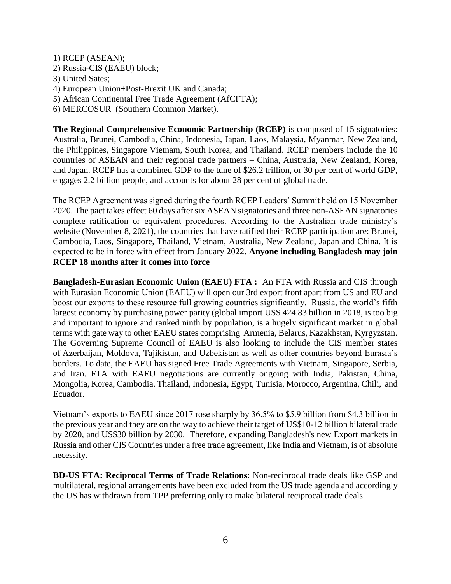1) RCEP (ASEAN); 2) Russia-CIS (EAEU) block; 3) United Sates; 4) European Union+Post-Brexit UK and Canada; 5) African Continental Free Trade Agreement (AfCFTA);

6) MERCOSUR (Southern Common Market).

**The Regional Comprehensive Economic Partnership (RCEP)** is composed of 15 signatories: Australia, Brunei, Cambodia, China, Indonesia, Japan, Laos, Malaysia, Myanmar, New Zealand, the Philippines, Singapore Vietnam, South Korea, and Thailand. RCEP members include the 10 countries of ASEAN and their regional trade partners – China, Australia, New Zealand, Korea, and Japan. RCEP has a combined GDP to the tune of \$26.2 trillion, or 30 per cent of world GDP, engages 2.2 billion people, and accounts for about 28 per cent of global trade.

The RCEP Agreement was signed during the fourth RCEP Leaders' Summit held on 15 November 2020. The pact takes effect 60 days after six ASEAN signatories and three non-ASEAN signatories complete ratification or equivalent procedures. According to the Australian trade ministry's website (November 8, 2021), the countries that have ratified their RCEP participation are: Brunei, Cambodia, Laos, Singapore, Thailand, Vietnam, Australia, New Zealand, Japan and China. It is expected to be in force with effect from January 2022. **Anyone including Bangladesh may join RCEP 18 months after it comes into force** 

**Bangladesh-Eurasian Economic Union (EAEU) FTA :** An FTA with Russia and CIS through with Eurasian Economic Union (EAEU) will open our 3rd export front apart from US and EU and boost our exports to these resource full growing countries significantly. Russia, the world's fifth largest economy by purchasing power parity (global import US\$ 424.83 billion in 2018, is too big and important to ignore and ranked ninth by population, is a hugely significant market in global terms with gate way to other EAEU states comprising Armenia, Belarus, Kazakhstan, Kyrgyzstan. The Governing Supreme Council of EAEU is also looking to include the CIS member states of Azerbaijan, Moldova, Tajikistan, and Uzbekistan as well as other countries beyond Eurasia's borders. To date, the EAEU has signed Free Trade Agreements with Vietnam, Singapore, Serbia, and Iran. FTA with EAEU negotiations are currently ongoing with India, Pakistan, China, Mongolia, Korea, Cambodia. Thailand, Indonesia, Egypt, Tunisia, Morocco, Argentina, Chili, and Ecuador.

Vietnam's exports to EAEU since 2017 rose sharply by 36.5% to \$5.9 billion from \$4.3 billion in the previous year and they are on the way to achieve their target of US\$10-12 billion bilateral trade by 2020, and US\$30 billion by 2030. Therefore, expanding Bangladesh's new Export markets in Russia and other CIS Countries under a free trade agreement, like India and Vietnam, is of absolute necessity.

**BD-US FTA: Reciprocal Terms of Trade Relations**: Non-reciprocal trade deals like GSP and multilateral, regional arrangements have been excluded from the US trade agenda and accordingly the US has withdrawn from TPP preferring only to make bilateral reciprocal trade deals.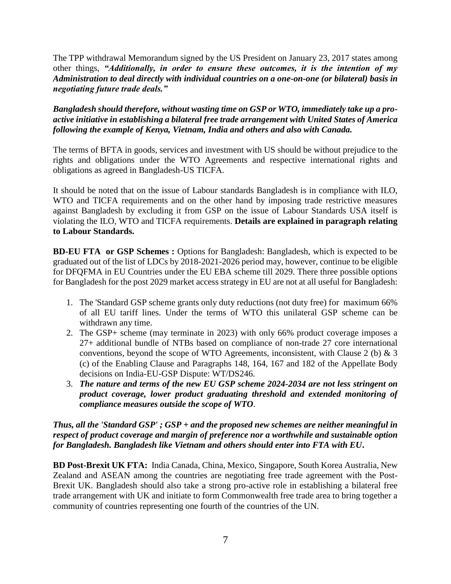The TPP withdrawal Memorandum signed by the US President on January 23, 2017 states among other things, *"Additionally, in order to ensure these outcomes, it is the intention of my Administration to deal directly with individual countries on a one-on-one (or bilateral) basis in negotiating future trade deals."*

*Bangladesh should therefore, without wasting time on GSP or WTO, immediately take up a proactive initiative in establishing a bilateral free trade arrangement with United States of America following the example of Kenya, Vietnam, India and others and also with Canada.* 

The terms of BFTA in goods, services and investment with US should be without prejudice to the rights and obligations under the WTO Agreements and respective international rights and obligations as agreed in Bangladesh-US TICFA.

It should be noted that on the issue of Labour standards Bangladesh is in compliance with ILO, WTO and TICFA requirements and on the other hand by imposing trade restrictive measures against Bangladesh by excluding it from GSP on the issue of Labour Standards USA itself is violating the ILO, WTO and TICFA requirements. **Details are explained in paragraph relating to Labour Standards.** 

**BD-EU FTA or GSP Schemes :** Options for Bangladesh: Bangladesh, which is expected to be graduated out of the list of LDCs by 2018-2021-2026 period may, however, continue to be eligible for DFQFMA in EU Countries under the EU EBA scheme till 2029. There three possible options for Bangladesh for the post 2029 market access strategy in EU are not at all useful for Bangladesh:

- 1. The 'Standard GSP scheme grants only duty reductions (not duty free) for maximum 66% of all EU tariff lines. Under the terms of WTO this unilateral GSP scheme can be withdrawn any time.
- 2. The GSP+ scheme (may terminate in 2023) with only 66% product coverage imposes a 27+ additional bundle of NTBs based on compliance of non-trade 27 core international conventions, beyond the scope of WTO Agreements, inconsistent, with Clause 2 (b)  $\&$  3 (c) of the Enabling Clause and Paragraphs 148, 164, 167 and 182 of the Appellate Body decisions on India-EU-GSP Dispute: WT/DS246.
- 3. *The nature and terms of the new EU GSP scheme 2024-2034 are not less stringent on product coverage, lower product graduating threshold and extended monitoring of compliance measures outside the scope of WTO*.

*Thus, all the 'Standard GSP' ; GSP + and the proposed new schemes are neither meaningful in respect of product coverage and margin of preference nor a worthwhile and sustainable option for Bangladesh. Bangladesh like Vietnam and others should enter into FTA with EU***.**

**BD Post-Brexit UK FTA:** India Canada, China, Mexico, Singapore, South Korea Australia, New Zealand and ASEAN among the countries are negotiating free trade agreement with the Post-Brexit UK. Bangladesh should also take a strong pro-active role in establishing a bilateral free trade arrangement with UK and initiate to form Commonwealth free trade area to bring together a community of countries representing one fourth of the countries of the UN.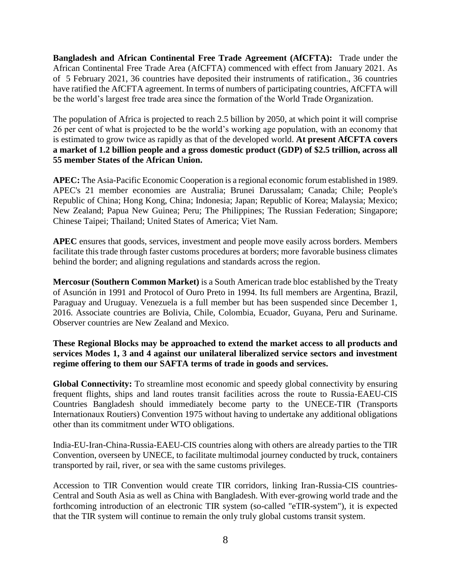**Bangladesh and African Continental Free Trade Agreement (AfCFTA):** Trade under the African Continental Free Trade Area (AfCFTA) commenced with effect from January 2021. As of 5 February 2021, 36 countries have deposited their instruments of ratification., 36 countries have ratified the AfCFTA agreement. In terms of numbers of participating countries, AfCFTA will be the world's largest free trade area since the formation of the World Trade Organization.

The population of Africa is projected to reach 2.5 billion by 2050, at which point it will comprise 26 per cent of what is projected to be the world's working age population, with an economy that is estimated to grow twice as rapidly as that of the developed world. **At present AfCFTA covers a market of 1.2 billion people and a gross domestic product (GDP) of \$2.5 trillion, across all 55 member States of the African Union.** 

**APEC:** The Asia-Pacific Economic Cooperation is a regional economic forum established in 1989. APEC's 21 member economies are Australia; Brunei Darussalam; Canada; Chile; People's Republic of China; Hong Kong, China; Indonesia; Japan; Republic of Korea; Malaysia; Mexico; New Zealand; Papua New Guinea; Peru; The Philippines; The Russian Federation; Singapore; Chinese Taipei; Thailand; United States of America; Viet Nam.

**APEC** ensures that goods, services, investment and people move easily across borders. Members facilitate this trade through faster customs procedures at borders; more favorable business climates behind the border; and aligning regulations and standards across the region.

**Mercosur (Southern Common Market)** is a South American trade bloc established by the Treaty of Asunción in 1991 and Protocol of Ouro Preto in 1994. Its full members are Argentina, Brazil, Paraguay and Uruguay. Venezuela is a full member but has been suspended since December 1, 2016. Associate countries are Bolivia, Chile, Colombia, Ecuador, Guyana, Peru and Suriname. Observer countries are New Zealand and Mexico.

## **These Regional Blocks may be approached to extend the market access to all products and services Modes 1, 3 and 4 against our unilateral liberalized service sectors and investment regime offering to them our SAFTA terms of trade in goods and services.**

**Global Connectivity:** To streamline most economic and speedy global connectivity by ensuring frequent flights, ships and land routes transit facilities across the route to Russia-EAEU-CIS Countries Bangladesh should immediately become party to the UNECE-TIR (Transports Internationaux Routiers) Convention 1975 without having to undertake any additional obligations other than its commitment under WTO obligations.

India-EU-Iran-China-Russia-EAEU-CIS countries along with others are already parties to the TIR Convention, overseen by UNECE, to facilitate multimodal journey conducted by truck, containers transported by rail, river, or sea with the same customs privileges.

Accession to TIR Convention would create TIR corridors, linking Iran-Russia-CIS countries-Central and South Asia as well as China with Bangladesh. With ever-growing world trade and the forthcoming introduction of an electronic TIR system (so-called "eTIR-system"), it is expected that the TIR system will continue to remain the only truly global customs transit system.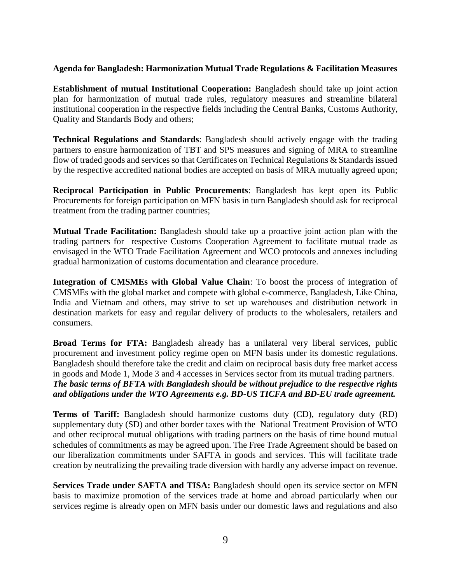#### **Agenda for Bangladesh: Harmonization Mutual Trade Regulations & Facilitation Measures**

**Establishment of mutual Institutional Cooperation:** Bangladesh should take up joint action plan for harmonization of mutual trade rules, regulatory measures and streamline bilateral institutional cooperation in the respective fields including the Central Banks, Customs Authority, Quality and Standards Body and others;

**Technical Regulations and Standards**: Bangladesh should actively engage with the trading partners to ensure harmonization of TBT and SPS measures and signing of MRA to streamline flow of traded goods and services so that Certificates on Technical Regulations & Standards issued by the respective accredited national bodies are accepted on basis of MRA mutually agreed upon;

**Reciprocal Participation in Public Procurements**: Bangladesh has kept open its Public Procurements for foreign participation on MFN basis in turn Bangladesh should ask for reciprocal treatment from the trading partner countries;

**Mutual Trade Facilitation:** Bangladesh should take up a proactive joint action plan with the trading partners for respective Customs Cooperation Agreement to facilitate mutual trade as envisaged in the WTO Trade Facilitation Agreement and WCO protocols and annexes including gradual harmonization of customs documentation and clearance procedure.

**Integration of CMSMEs with Global Value Chain**: To boost the process of integration of CMSMEs with the global market and compete with global e-commerce, Bangladesh, Like China, India and Vietnam and others, may strive to set up warehouses and distribution network in destination markets for easy and regular delivery of products to the wholesalers, retailers and consumers.

**Broad Terms for FTA:** Bangladesh already has a unilateral very liberal services, public procurement and investment policy regime open on MFN basis under its domestic regulations. Bangladesh should therefore take the credit and claim on reciprocal basis duty free market access in goods and Mode 1, Mode 3 and 4 accesses in Services sector from its mutual trading partners. *The basic terms of BFTA with Bangladesh should be without prejudice to the respective rights and obligations under the WTO Agreements e.g. BD-US TICFA and BD-EU trade agreement.* 

**Terms of Tariff:** Bangladesh should harmonize customs duty (CD), regulatory duty (RD) supplementary duty (SD) and other border taxes with the National Treatment Provision of WTO and other reciprocal mutual obligations with trading partners on the basis of time bound mutual schedules of commitments as may be agreed upon. The Free Trade Agreement should be based on our liberalization commitments under SAFTA in goods and services. This will facilitate trade creation by neutralizing the prevailing trade diversion with hardly any adverse impact on revenue.

**Services Trade under SAFTA and TISA:** Bangladesh should open its service sector on MFN basis to maximize promotion of the services trade at home and abroad particularly when our services regime is already open on MFN basis under our domestic laws and regulations and also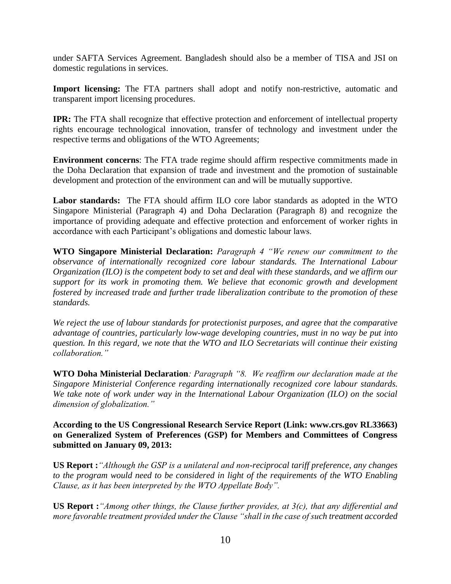under SAFTA Services Agreement. Bangladesh should also be a member of TISA and JSI on domestic regulations in services.

**Import licensing:** The FTA partners shall adopt and notify non-restrictive, automatic and transparent import licensing procedures.

**IPR:** The FTA shall recognize that effective protection and enforcement of intellectual property rights encourage technological innovation, transfer of technology and investment under the respective terms and obligations of the WTO Agreements;

**Environment concerns**: The FTA trade regime should affirm respective commitments made in the Doha Declaration that expansion of trade and investment and the promotion of sustainable development and protection of the environment can and will be mutually supportive.

**Labor standards:** The FTA should affirm ILO core labor standards as adopted in the WTO Singapore Ministerial (Paragraph 4) and Doha Declaration (Paragraph 8) and recognize the importance of providing adequate and effective protection and enforcement of worker rights in accordance with each Participant's obligations and domestic labour laws.

**WTO Singapore Ministerial Declaration:** *Paragraph 4 "We renew our commitment to the observance of internationally recognized core labour standards. The International Labour Organization (ILO) is the competent body to set and deal with these standards, and we affirm our support for its work in promoting them. We believe that economic growth and development fostered by increased trade and further trade liberalization contribute to the promotion of these standards.* 

*We reject the use of labour standards for protectionist purposes, and agree that the comparative advantage of countries, particularly low-wage developing countries, must in no way be put into question. In this regard, we note that the WTO and ILO Secretariats will continue their existing collaboration."*

**WTO Doha Ministerial Declaration***: Paragraph "8. We reaffirm our declaration made at the Singapore Ministerial Conference regarding internationally recognized core labour standards. We take note of work under way in the International Labour Organization (ILO) on the social dimension of globalization."*

**According to the US Congressional Research Service Report (Link: www.crs.gov RL33663) on Generalized System of Preferences (GSP) for Members and Committees of Congress submitted on January 09, 2013:**

**US Report :***"Although the GSP is a unilateral and non-reciprocal tariff preference, any changes to the program would need to be considered in light of the requirements of the WTO Enabling Clause, as it has been interpreted by the WTO Appellate Body".* 

**US Report :***"Among other things, the Clause further provides, at 3(c), that any differential and more favorable treatment provided under the Clause "shall in the case of such treatment accorded*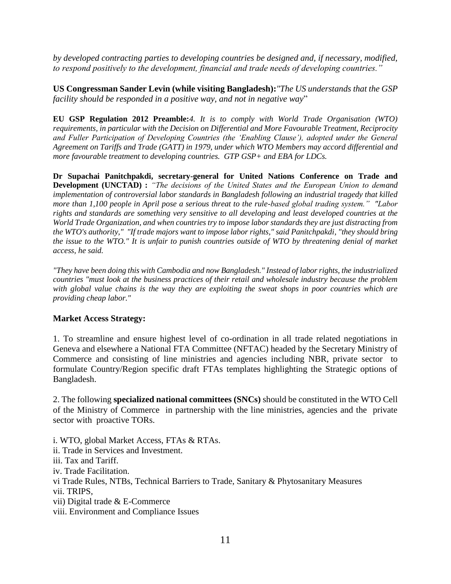*by developed contracting parties to developing countries be designed and, if necessary, modified, to respond positively to the development, financial and trade needs of developing countries."*

**US Congressman Sander Levin (while visiting Bangladesh):***"The US understands that the GSP facility should be responded in a positive way, and not in negative way*"

**EU GSP Regulation 2012 Preamble:***4. It is to comply with World Trade Organisation (WTO) requirements, in particular with the Decision on Differential and More Favourable Treatment, Reciprocity and Fuller Participation of Developing Countries (the 'Enabling Clause'), adopted under the General Agreement on Tariffs and Trade (GATT) in 1979, under which WTO Members may accord differential and more favourable treatment to developing countries. GTP GSP+ and EBA for LDCs.*

**Dr Supachai Panitchpakdi, secretary-general for United Nations Conference on Trade and Development (UNCTAD) :** *"The decisions of the United States and the European Union to demand implementation of controversial labor standards in Bangladesh following an industrial tragedy that killed more than 1,100 people in April pose a serious threat to the rule-based global trading system." "Labor rights and standards are something very sensitive to all developing and least developed countries at the World Trade Organization, and when countries try to impose labor standards they are just distracting from the WTO's authority," "If trade majors want to impose labor rights," said Panitchpakdi, "they should bring the issue to the WTO." It is unfair to punish countries outside of WTO by threatening denial of market access, he said.* 

*"They have been doing this with Cambodia and now Bangladesh." Instead of labor rights, the industrialized countries "must look at the business practices of their retail and wholesale industry because the problem with global value chains is the way they are exploiting the sweat shops in poor countries which are providing cheap labor."* 

#### **Market Access Strategy:**

1. To streamline and ensure highest level of co-ordination in all trade related negotiations in Geneva and elsewhere a National FTA Committee (NFTAC) headed by the Secretary Ministry of Commerce and consisting of line ministries and agencies including NBR, private sector to formulate Country/Region specific draft FTAs templates highlighting the Strategic options of Bangladesh.

2. The following **specialized national committees (SNCs)** should be constituted in the WTO Cell of the Ministry of Commerce in partnership with the line ministries, agencies and the private sector with proactive TORs.

i. WTO, global Market Access, FTAs & RTAs.

- ii. Trade in Services and Investment.
- iii. Tax and Tariff.
- iv. Trade Facilitation.

vi Trade Rules, NTBs, Technical Barriers to Trade, Sanitary & Phytosanitary Measures

- vii. TRIPS,
- vii) Digital trade & E-Commerce
- viii. Environment and Compliance Issues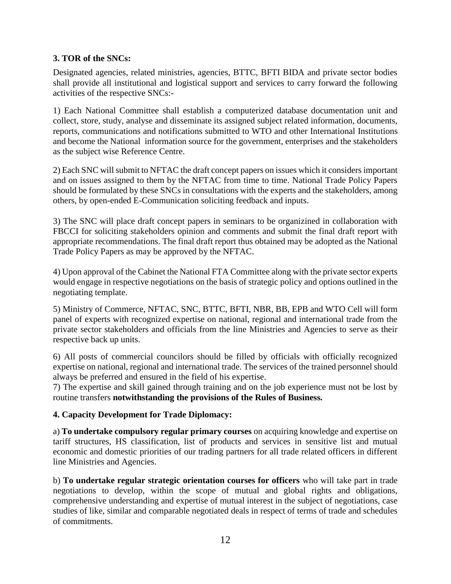## **3. TOR of the SNCs:**

Designated agencies, related ministries, agencies, BTTC, BFTI BIDA and private sector bodies shall provide all institutional and logistical support and services to carry forward the following activities of the respective SNCs:-

1) Each National Committee shall establish a computerized database documentation unit and collect, store, study, analyse and disseminate its assigned subject related information, documents, reports, communications and notifications submitted to WTO and other International Institutions and become the National information source for the government, enterprises and the stakeholders as the subject wise Reference Centre.

2) Each SNC will submit to NFTAC the draft concept papers on issues which it considers important and on issues assigned to them by the NFTAC from time to time. National Trade Policy Papers should be formulated by these SNCs in consultations with the experts and the stakeholders, among others, by open-ended E-Communication soliciting feedback and inputs.

3) The SNC will place draft concept papers in seminars to be organizined in collaboration with FBCCI for soliciting stakeholders opinion and comments and submit the final draft report with appropriate recommendations. The final draft report thus obtained may be adopted as the National Trade Policy Papers as may be approved by the NFTAC.

4) Upon approval of the Cabinet the National FTA Committee along with the private sector experts would engage in respective negotiations on the basis of strategic policy and options outlined in the negotiating template.

5) Ministry of Commerce, NFTAC, SNC, BTTC, BFTI, NBR, BB, EPB and WTO Cell will form panel of experts with recognized expertise on national, regional and international trade from the private sector stakeholders and officials from the line Ministries and Agencies to serve as their respective back up units.

6) All posts of commercial councilors should be filled by officials with officially recognized expertise on national, regional and international trade. The services of the trained personnel should always be preferred and ensured in the field of his expertise.

7) The expertise and skill gained through training and on the job experience must not be lost by routine transfers **notwithstanding the provisions of the Rules of Business.** 

## **4. Capacity Development for Trade Diplomacy:**

a) **To undertake compulsory regular primary courses** on acquiring knowledge and expertise on tariff structures, HS classification, list of products and services in sensitive list and mutual economic and domestic priorities of our trading partners for all trade related officers in different line Ministries and Agencies.

b) **To undertake regular strategic orientation courses for officers** who will take part in trade negotiations to develop, within the scope of mutual and global rights and obligations, comprehensive understanding and expertise of mutual interest in the subject of negotiations, case studies of like, similar and comparable negotiated deals in respect of terms of trade and schedules of commitments.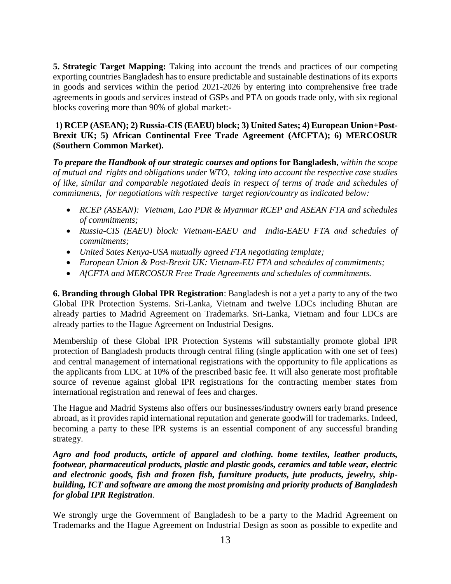**5. Strategic Target Mapping:** Taking into account the trends and practices of our competing exporting countries Bangladesh has to ensure predictable and sustainable destinations of its exports in goods and services within the period 2021-2026 by entering into comprehensive free trade agreements in goods and services instead of GSPs and PTA on goods trade only, with six regional blocks covering more than 90% of global market:-

### **1) RCEP (ASEAN); 2) Russia-CIS (EAEU) block; 3) United Sates; 4) European Union+Post-Brexit UK; 5) African Continental Free Trade Agreement (AfCFTA); 6) MERCOSUR (Southern Common Market).**

*To prepare the Handbook of our strategic courses and options* **for Bangladesh**, *within the scope of mutual and rights and obligations under WTO, taking into account the respective case studies of like, similar and comparable negotiated deals in respect of terms of trade and schedules of commitments, for negotiations with respective target region/country as indicated below:* 

- *RCEP (ASEAN): Vietnam, Lao PDR & Myanmar RCEP and ASEAN FTA and schedules of commitments;*
- *Russia-CIS (EAEU) block: Vietnam-EAEU and India-EAEU FTA and schedules of commitments;*
- *United Sates Kenya-USA mutually agreed FTA negotiating template;*
- *European Union & Post-Brexit UK: Vietnam-EU FTA and schedules of commitments;*
- *AfCFTA and MERCOSUR Free Trade Agreements and schedules of commitments.*

**6. Branding through Global IPR Registration**: Bangladesh is not a yet a party to any of the two Global IPR Protection Systems. Sri-Lanka, Vietnam and twelve LDCs including Bhutan are already parties to Madrid Agreement on Trademarks. Sri-Lanka, Vietnam and four LDCs are already parties to the Hague Agreement on Industrial Designs.

Membership of these Global IPR Protection Systems will substantially promote global IPR protection of Bangladesh products through central filing (single application with one set of fees) and central management of international registrations with the opportunity to file applications as the applicants from LDC at 10% of the prescribed basic fee. It will also generate most profitable source of revenue against global IPR registrations for the contracting member states from international registration and renewal of fees and charges.

The Hague and Madrid Systems also offers our businesses/industry owners early brand presence abroad, as it provides rapid international reputation and generate goodwill for trademarks. Indeed, becoming a party to these IPR systems is an essential component of any successful branding strategy.

*Agro and food products, article of apparel and clothing. home textiles, leather products, footwear, pharmaceutical products, plastic and plastic goods, ceramics and table wear, electric and electronic goods, fish and frozen fish, furniture products, jute products, jewelry, shipbuilding, ICT and software are among the most promising and priority products of Bangladesh for global IPR Registration*.

We strongly urge the Government of Bangladesh to be a party to the Madrid Agreement on Trademarks and the Hague Agreement on Industrial Design as soon as possible to expedite and